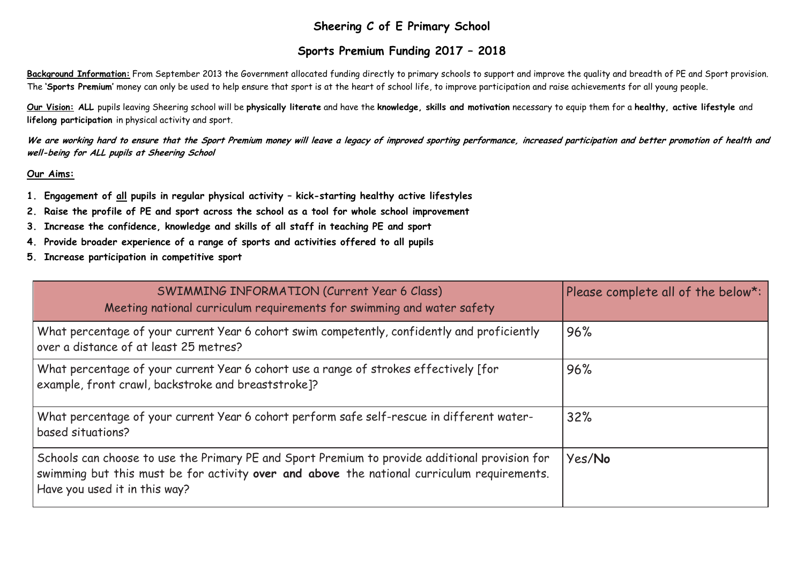# **Sheering C of E Primary School**

# **Sports Premium Funding 2017 – 2018**

**Background Information:** From September 2013 the Government allocated funding directly to primary schools to support and improve the quality and breadth of PE and Sport provision. The **'Sports Premium'** money can only be used to help ensure that sport is at the heart of school life, to improve participation and raise achievements for all young people.

**Our Vision: ALL** pupils leaving Sheering school will be **physically literate** and have the **knowledge, skills and motivation** necessary to equip them for a **healthy, active lifestyle** and **lifelong participation** in physical activity and sport.

We are working hard to ensure that the Sport Premium money will leave a legacy of improved sporting performance, increased participation and better promotion of health and **well-being for ALL pupils at Sheering School**

### **Our Aims:**

- **1. Engagement of all pupils in regular physical activity – kick-starting healthy active lifestyles**
- **2. Raise the profile of PE and sport across the school as a tool for whole school improvement**
- **3. Increase the confidence, knowledge and skills of all staff in teaching PE and sport**
- **4. Provide broader experience of a range of sports and activities offered to all pupils**
- **5. Increase participation in competitive sport**

| SWIMMING INFORMATION (Current Year 6 Class)<br>Meeting national curriculum requirements for swimming and water safety                                                                                                          | Please complete all of the below*: |
|--------------------------------------------------------------------------------------------------------------------------------------------------------------------------------------------------------------------------------|------------------------------------|
| What percentage of your current Year 6 cohort swim competently, confidently and proficiently<br>over a distance of at least 25 metres?                                                                                         | 96%                                |
| What percentage of your current Year 6 cohort use a range of strokes effectively [for<br>example, front crawl, backstroke and breaststroke]?                                                                                   | 96%                                |
| What percentage of your current Year 6 cohort perform safe self-rescue in different water-<br>based situations?                                                                                                                | 32%                                |
| Schools can choose to use the Primary PE and Sport Premium to provide additional provision for<br>swimming but this must be for activity over and above the national curriculum requirements.<br>Have you used it in this way? | Yes/No                             |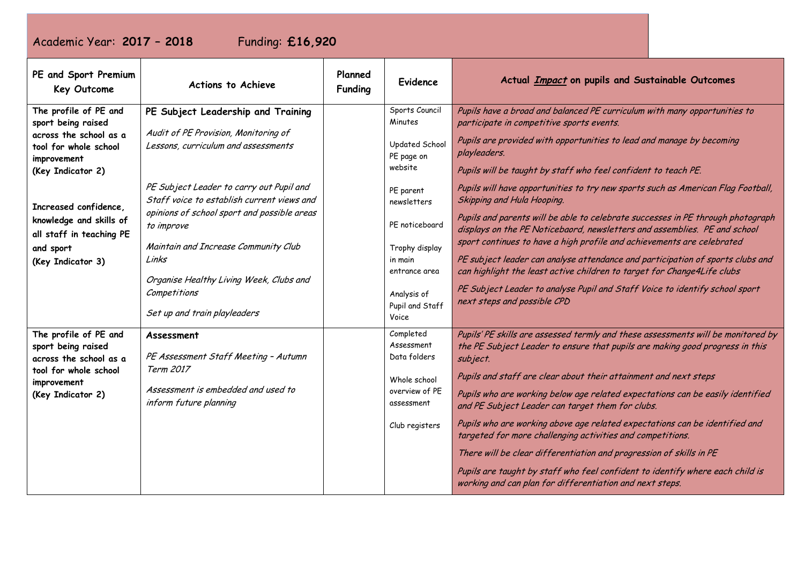# Academic Year: **2017 – 2018** Funding: **£16,920**

| PE and Sport Premium<br>Key Outcome                                                                                                                                        | Actions to Achieve                                                                     | Planned<br><b>Funding</b>                  | <b>Evidence</b>                                                                                                                                                                                                                     | Actual <i>Impact</i> on pupils and Sustainable Outcomes                                                                                                                      |
|----------------------------------------------------------------------------------------------------------------------------------------------------------------------------|----------------------------------------------------------------------------------------|--------------------------------------------|-------------------------------------------------------------------------------------------------------------------------------------------------------------------------------------------------------------------------------------|------------------------------------------------------------------------------------------------------------------------------------------------------------------------------|
| The profile of PE and<br>sport being raised                                                                                                                                | PE Subject Leadership and Training                                                     |                                            | Sports Council<br>Minutes                                                                                                                                                                                                           | Pupils have a broad and balanced PE curriculum with many opportunities to<br>participate in competitive sports events.                                                       |
| across the school as a<br>tool for whole school<br>improvement                                                                                                             | Audit of PE Provision, Monitoring of<br>Lessons, curriculum and assessments            |                                            | Updated School<br>PE page on                                                                                                                                                                                                        | Pupils are provided with opportunities to lead and manage by becoming<br>playleaders.                                                                                        |
| (Key Indicator 2)                                                                                                                                                          |                                                                                        |                                            | website                                                                                                                                                                                                                             | Pupils will be taught by staff who feel confident to teach PE.                                                                                                               |
| Increased confidence,                                                                                                                                                      | PE Subject Leader to carry out Pupil and<br>Staff voice to establish current views and |                                            | PE parent<br>newsletters                                                                                                                                                                                                            | Pupils will have opportunities to try new sports such as American Flag Football,<br>Skipping and Hula Hooping.                                                               |
| knowledge and skills of<br>all staff in teaching PE                                                                                                                        | opinions of school sport and possible areas<br>to improve                              |                                            | PE noticeboard                                                                                                                                                                                                                      | Pupils and parents will be able to celebrate successes in PE through photograph<br>displays on the PE Noticebaord, newsletters and assemblies. PE and school                 |
| Maintain and Increase Community Club<br>and sport<br>Links<br>(Key Indicator 3)<br>Organise Healthy Living Week, Clubs and<br>Competitions<br>Set up and train playleaders |                                                                                        | Trophy display<br>in main<br>entrance area | sport continues to have a high profile and achievements are celebrated<br>PE subject leader can analyse attendance and participation of sports clubs and<br>can highlight the least active children to target for Change4Life clubs |                                                                                                                                                                              |
|                                                                                                                                                                            |                                                                                        | Analysis of<br>Pupil and Staff<br>Voice    | PE Subject Leader to analyse Pupil and Staff Voice to identify school sport<br>next steps and possible CPD                                                                                                                          |                                                                                                                                                                              |
| The profile of PE and<br>sport being raised<br>across the school as a                                                                                                      | Assessment<br>PE Assessment Staff Meeting - Autumn                                     |                                            | Completed<br>Assessment<br>Data folders                                                                                                                                                                                             | Pupils' PE skills are assessed termly and these assessments will be monitored by<br>the PE Subject Leader to ensure that pupils are making good progress in this<br>subject. |
| Term 2017<br>tool for whole school<br>improvement<br>Assessment is embedded and used to<br>(Key Indicator 2)<br>inform future planning                                     |                                                                                        |                                            | Whole school                                                                                                                                                                                                                        | Pupils and staff are clear about their attainment and next steps                                                                                                             |
|                                                                                                                                                                            |                                                                                        | overview of PE<br>assessment               | Pupils who are working below age related expectations can be easily identified<br>and PE Subject Leader can target them for clubs.                                                                                                  |                                                                                                                                                                              |
|                                                                                                                                                                            |                                                                                        |                                            | Club registers                                                                                                                                                                                                                      | Pupils who are working above age related expectations can be identified and<br>targeted for more challenging activities and competitions.                                    |
|                                                                                                                                                                            |                                                                                        |                                            |                                                                                                                                                                                                                                     | There will be clear differentiation and progression of skills in PE                                                                                                          |
|                                                                                                                                                                            |                                                                                        |                                            |                                                                                                                                                                                                                                     | Pupils are taught by staff who feel confident to identify where each child is<br>working and can plan for differentiation and next steps.                                    |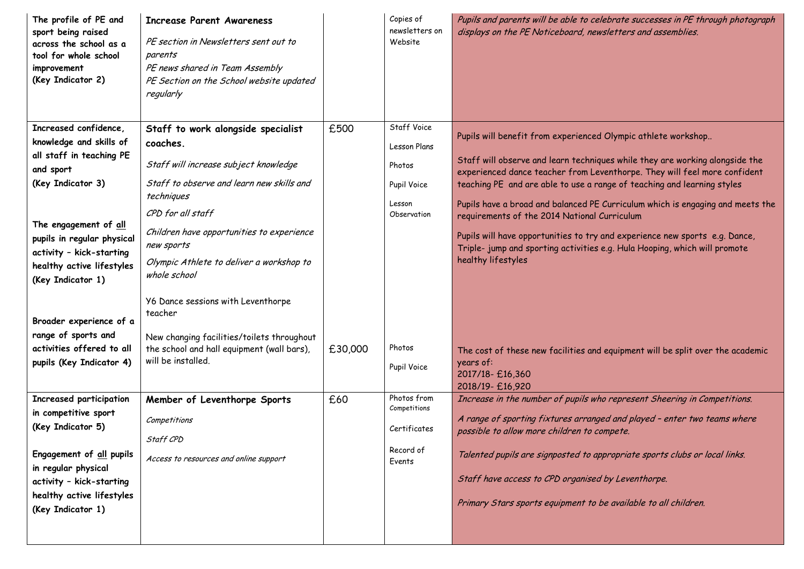| The profile of PE and<br>sport being raised<br>across the school as a<br>tool for whole school<br>improvement<br>(Key Indicator 2) | <b>Increase Parent Awareness</b><br>PE section in Newsletters sent out to<br>parents<br>PE news shared in Team Assembly<br>PE Section on the School website updated<br>regularly |         | Copies of<br>newsletters on<br>Website | Pupils and parents will be able to celebrate successes in PE through photograph<br>displays on the PE Noticeboard, newsletters and assemblies.            |
|------------------------------------------------------------------------------------------------------------------------------------|----------------------------------------------------------------------------------------------------------------------------------------------------------------------------------|---------|----------------------------------------|-----------------------------------------------------------------------------------------------------------------------------------------------------------|
| Increased confidence,                                                                                                              | Staff to work alongside specialist                                                                                                                                               | £500    | Staff Voice                            |                                                                                                                                                           |
| knowledge and skills of                                                                                                            | coaches.                                                                                                                                                                         |         | Lesson Plans                           | Pupils will benefit from experienced Olympic athlete workshop                                                                                             |
| all staff in teaching PE<br>and sport                                                                                              | Staff will increase subject knowledge                                                                                                                                            |         | Photos                                 | Staff will observe and learn techniques while they are working alongside the<br>experienced dance teacher from Leventhorpe. They will feel more confident |
| (Key Indicator 3)                                                                                                                  | Staff to observe and learn new skills and                                                                                                                                        |         | Pupil Voice                            | teaching PE and are able to use a range of teaching and learning styles                                                                                   |
| The engagement of all                                                                                                              | techniques<br>CPD for all staff                                                                                                                                                  |         | Lesson<br>Observation                  | Pupils have a broad and balanced PE Curriculum which is engaging and meets the<br>requirements of the 2014 National Curriculum                            |
| pupils in regular physical<br>activity - kick-starting                                                                             | Children have opportunities to experience<br>new sports                                                                                                                          |         |                                        | Pupils will have opportunities to try and experience new sports e.g. Dance,<br>Triple- jump and sporting activities e.g. Hula Hooping, which will promote |
| healthy active lifestyles<br>(Key Indicator 1)                                                                                     | Olympic Athlete to deliver a workshop to<br>whole school                                                                                                                         |         |                                        | healthy lifestyles                                                                                                                                        |
| Broader experience of a                                                                                                            | Y6 Dance sessions with Leventhorpe<br>teacher                                                                                                                                    |         |                                        |                                                                                                                                                           |
| range of sports and                                                                                                                | New changing facilities/toilets throughout                                                                                                                                       |         |                                        |                                                                                                                                                           |
| activities offered to all                                                                                                          | the school and hall equipment (wall bars),                                                                                                                                       | £30,000 | Photos                                 | The cost of these new facilities and equipment will be split over the academic                                                                            |
| pupils (Key Indicator 4)                                                                                                           | will be installed.                                                                                                                                                               |         | Pupil Voice                            | years of:<br>2017/18-£16,360                                                                                                                              |
| Increased participation                                                                                                            | Member of Leventhorpe Sports                                                                                                                                                     | £60     | Photos from                            | 2018/19-£16,920<br>Increase in the number of pupils who represent Sheering in Competitions.                                                               |
| in competitive sport                                                                                                               |                                                                                                                                                                                  |         | Competitions                           |                                                                                                                                                           |
| (Key Indicator 5)                                                                                                                  | Competitions                                                                                                                                                                     |         | Certificates                           | A range of sporting fixtures arranged and played - enter two teams where<br>possible to allow more children to compete.                                   |
|                                                                                                                                    | Staff CPD                                                                                                                                                                        |         | Record of                              |                                                                                                                                                           |
| Engagement of all pupils<br>in regular physical                                                                                    | Access to resources and online support                                                                                                                                           |         | Events                                 | Talented pupils are signposted to appropriate sports clubs or local links.                                                                                |
| activity - kick-starting                                                                                                           |                                                                                                                                                                                  |         |                                        | Staff have access to CPD organised by Leventhorpe.                                                                                                        |
| healthy active lifestyles<br>(Key Indicator 1)                                                                                     |                                                                                                                                                                                  |         |                                        | Primary Stars sports equipment to be available to all children.                                                                                           |
|                                                                                                                                    |                                                                                                                                                                                  |         |                                        |                                                                                                                                                           |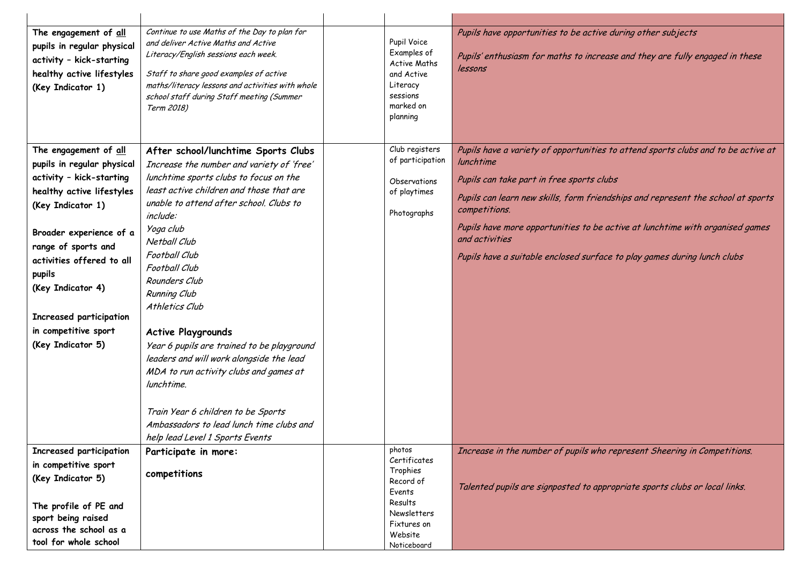| The engagement of all<br>pupils in regular physical<br>activity - kick-starting<br>healthy active lifestyles<br>(Key Indicator 1)                                                                                                                                                                                       | Continue to use Maths of the Day to plan for<br>and deliver Active Maths and Active<br>Literacy/English sessions each week.<br>Staff to share good examples of active<br>maths/literacy lessons and activities with whole<br>school staff during Staff meeting (Summer<br>Term 2018)                                                                                                                                                                                                                                                                                                                                    | Pupil Voice<br>Examples of<br><b>Active Maths</b><br>and Active<br>Literacy<br>sessions<br>marked on<br>planning                    | Pupils have opportunities to be active during other subjects<br>Pupils' enthusiasm for maths to increase and they are fully engaged in these<br>lessons                                                                                                                                                                                                                                                                         |
|-------------------------------------------------------------------------------------------------------------------------------------------------------------------------------------------------------------------------------------------------------------------------------------------------------------------------|-------------------------------------------------------------------------------------------------------------------------------------------------------------------------------------------------------------------------------------------------------------------------------------------------------------------------------------------------------------------------------------------------------------------------------------------------------------------------------------------------------------------------------------------------------------------------------------------------------------------------|-------------------------------------------------------------------------------------------------------------------------------------|---------------------------------------------------------------------------------------------------------------------------------------------------------------------------------------------------------------------------------------------------------------------------------------------------------------------------------------------------------------------------------------------------------------------------------|
| The engagement of all<br>pupils in regular physical<br>activity - kick-starting<br>healthy active lifestyles<br>(Key Indicator 1)<br>Broader experience of a<br>range of sports and<br>activities offered to all<br>pupils<br>(Key Indicator 4)<br>Increased participation<br>in competitive sport<br>(Key Indicator 5) | After school/lunchtime Sports Clubs<br>Increase the number and variety of 'free'<br>lunchtime sports clubs to focus on the<br>least active children and those that are<br>unable to attend after school. Clubs to<br><i>include:</i><br>Yoga club<br>Netball Club<br>Football Club<br>Football Club<br>Rounders Club<br>Running Club<br>Athletics Club<br><b>Active Playgrounds</b><br>Year 6 pupils are trained to be playground<br>leaders and will work alongside the lead<br>MDA to run activity clubs and games at<br>lunchtime.<br>Train Year 6 children to be Sports<br>Ambassadors to lead lunch time clubs and | Club registers<br>of participation<br>Observations<br>of playtimes<br>Photographs                                                   | Pupils have a variety of opportunities to attend sports clubs and to be active at<br>lunchtime<br>Pupils can take part in free sports clubs<br>Pupils can learn new skills, form friendships and represent the school at sports<br>competitions.<br>Pupils have more opportunities to be active at lunchtime with organised games<br>and activities<br>Pupils have a suitable enclosed surface to play games during lunch clubs |
| Increased participation<br>in competitive sport<br>(Key Indicator 5)<br>The profile of PE and<br>sport being raised<br>across the school as a<br>tool for whole school                                                                                                                                                  | help lead Level 1 Sports Events<br>Participate in more:<br>competitions                                                                                                                                                                                                                                                                                                                                                                                                                                                                                                                                                 | photos<br>Certificates<br>Trophies<br>Record of<br>Events<br>Results<br><b>Newsletters</b><br>Fixtures on<br>Website<br>Noticeboard | Increase in the number of pupils who represent Sheering in Competitions.<br>Talented pupils are signposted to appropriate sports clubs or local links.                                                                                                                                                                                                                                                                          |